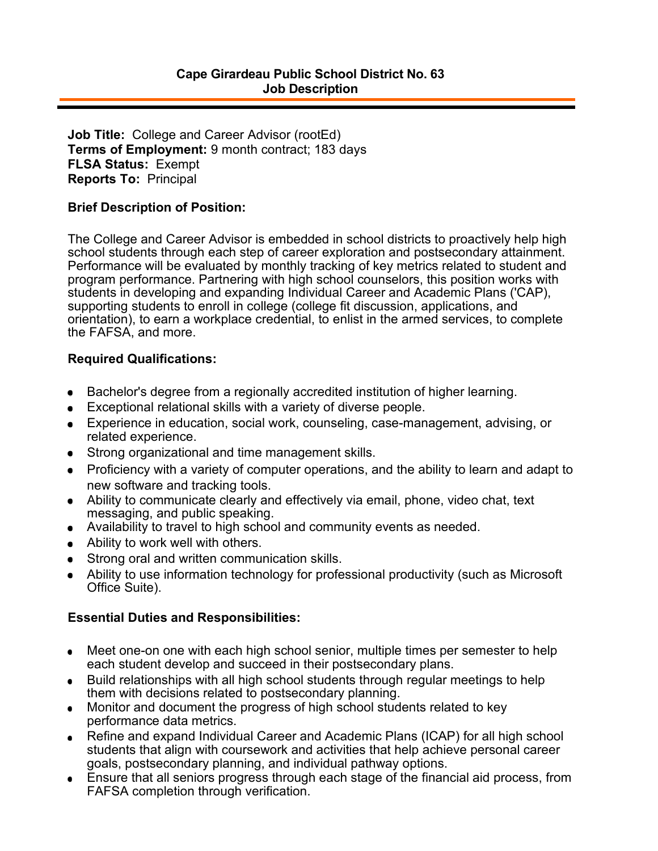**Job Title:** College and Career Advisor (rootEd) **Terms of Employment:** 9 month contract; 183 days **FLSA Status:** Exempt **Reports To:** Principal

## **Brief Description of Position:**

The College and Career Advisor is embedded in school districts to proactively help high school students through each step of career exploration and postsecondary attainment. Performance will be evaluated by monthly tracking of key metrics related to student and program performance. Partnering with high school counselors, this position works with students in developing and expanding Individual Career and Academic Plans ('CAP), supporting students to enroll in college (college fit discussion, applications, and orientation), to earn a workplace credential, to enlist in the armed services, to complete the FAFSA, and more.

## **Required Qualifications:**

- Bachelor's degree from a regionally accredited institution of higher learning.  $\bullet$
- Exceptional relational skills with a variety of diverse people.
- Experience in education, social work, counseling, case-management, advising, or related experience.
- Strong organizational and time management skills.
- Proficiency with a variety of computer operations, and the ability to learn and adapt to new software and tracking tools.
- Ability to communicate clearly and effectively via email, phone, video chat, text  $\bullet$ messaging, and public speaking.
- Availability to travel to high school and community events as needed.  $\bullet$
- Ability to work well with others.
- Strong oral and written communication skills.
- Ability to use information technology for professional productivity (such as Microsoft Office Suite).

## **Essential Duties and Responsibilities:**

- Meet one-on one with each high school senior, multiple times per semester to help  $\bullet$ each student develop and succeed in their postsecondary plans.
- Build relationships with all high school students through regular meetings to help them with decisions related to postsecondary planning.
- Monitor and document the progress of high school students related to key  $\bullet$ performance data metrics.
- Refine and expand Individual Career and Academic Plans (ICAP) for all high school  $\bullet$ students that align with coursework and activities that help achieve personal career goals, postsecondary planning, and individual pathway options.
- Ensure that all seniors progress through each stage of the financial aid process, from FAFSA completion through verification.